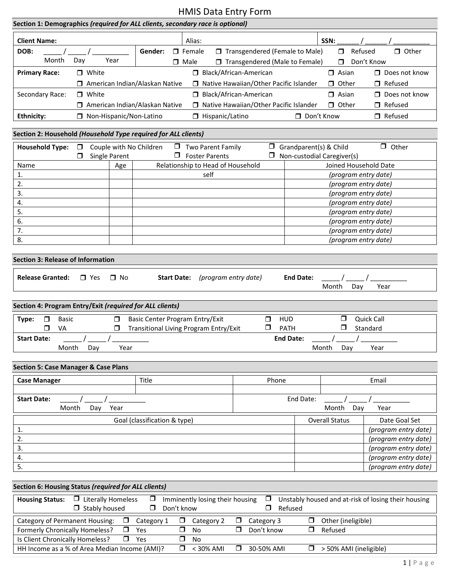| Section 1: Demographics (required for ALL clients, secondary race is optional)   |                                                                                                       |                                  |                                                                           |                               |                       |                                             |                    |                               |                       |                    |                                                     |
|----------------------------------------------------------------------------------|-------------------------------------------------------------------------------------------------------|----------------------------------|---------------------------------------------------------------------------|-------------------------------|-----------------------|---------------------------------------------|--------------------|-------------------------------|-----------------------|--------------------|-----------------------------------------------------|
| SSN:<br><b>Client Name:</b><br>Alias:                                            |                                                                                                       |                                  |                                                                           |                               |                       |                                             |                    |                               |                       |                    |                                                     |
| DOB:                                                                             |                                                                                                       |                                  | Gender:                                                                   | $\Box$ Female                 |                       | Transgendered (Female to Male)              |                    |                               |                       | $\Box$             | Refused<br>□ Other                                  |
| Month                                                                            | Day                                                                                                   | Year                             |                                                                           | $\Box$ Male                   |                       | □ Transgendered (Male to Female)            |                    |                               |                       | ⊓                  | Don't Know                                          |
| <b>Primary Race:</b>                                                             |                                                                                                       | $\Box$ White                     |                                                                           |                               |                       | Black/African-American                      |                    |                               |                       | $\Box$ Asian       | □ Does not know                                     |
|                                                                                  |                                                                                                       | □ American Indian/Alaskan Native |                                                                           |                               |                       | □ Native Hawaiian/Other Pacific Islander    |                    |                               |                       | $\Box$ Other       | Refused                                             |
| Secondary Race:                                                                  |                                                                                                       | $\Box$ White                     |                                                                           |                               |                       | Black/African-American                      |                    |                               |                       | $\Box$ Asian       | Does not know                                       |
|                                                                                  | American Indian/Alaskan Native<br>□ Native Hawaiian/Other Pacific Islander<br>$\Box$ Other<br>Refused |                                  |                                                                           |                               |                       |                                             |                    |                               |                       |                    |                                                     |
| <b>Ethnicity:</b>                                                                |                                                                                                       | □ Non-Hispanic/Non-Latino        |                                                                           |                               | Hispanic/Latino       |                                             |                    | Don't Know                    |                       |                    | □ Refused                                           |
|                                                                                  |                                                                                                       |                                  |                                                                           |                               |                       |                                             |                    |                               |                       |                    |                                                     |
| Section 2: Household (Household Type required for ALL clients)                   |                                                                                                       |                                  |                                                                           |                               |                       |                                             |                    |                               |                       |                    |                                                     |
| <b>Household Type:</b>                                                           | $\Box$                                                                                                | Couple with No Children          |                                                                           |                               | Two Parent Family     |                                             |                    | $\Box$ Grandparent(s) & Child |                       |                    | $\Box$ Other                                        |
| Name                                                                             | □                                                                                                     | Single Parent                    |                                                                           |                               | $\Box$ Foster Parents | $\Box$<br>Relationship to Head of Household |                    | Non-custodial Caregiver(s)    |                       |                    | Joined Household Date                               |
| 1.                                                                               |                                                                                                       | Age                              |                                                                           |                               | self                  |                                             |                    |                               |                       |                    | (program entry date)                                |
| 2.                                                                               |                                                                                                       |                                  |                                                                           |                               |                       |                                             |                    |                               |                       |                    | (program entry date)                                |
| 3.                                                                               |                                                                                                       |                                  |                                                                           |                               |                       |                                             |                    |                               |                       |                    | (program entry date)                                |
| 4.                                                                               |                                                                                                       |                                  |                                                                           |                               |                       |                                             |                    |                               |                       |                    | (program entry date)                                |
| 5.                                                                               |                                                                                                       |                                  |                                                                           |                               |                       |                                             |                    |                               |                       |                    | (program entry date)                                |
| 6.                                                                               |                                                                                                       |                                  |                                                                           |                               |                       |                                             |                    |                               |                       |                    | (program entry date)                                |
| 7.                                                                               |                                                                                                       |                                  |                                                                           |                               |                       |                                             |                    |                               |                       |                    | (program entry date)                                |
| 8.                                                                               |                                                                                                       |                                  |                                                                           |                               |                       |                                             |                    |                               |                       |                    | (program entry date)                                |
|                                                                                  |                                                                                                       |                                  |                                                                           |                               |                       |                                             |                    |                               |                       |                    |                                                     |
| <b>Section 3: Release of Information</b>                                         |                                                                                                       |                                  |                                                                           |                               |                       |                                             |                    |                               |                       |                    |                                                     |
| <b>Release Granted:</b>                                                          |                                                                                                       | $\Box$ Yes<br>□ No               |                                                                           | <b>Start Date:</b>            |                       | (program entry date)                        |                    | <b>End Date:</b>              | Month                 | Day                | Year                                                |
|                                                                                  |                                                                                                       |                                  |                                                                           |                               |                       |                                             |                    |                               |                       |                    |                                                     |
| Section 4: Program Entry/Exit (required for ALL clients)                         |                                                                                                       |                                  |                                                                           |                               |                       |                                             |                    |                               |                       |                    |                                                     |
| $\Box$<br><b>Basic</b><br>Type:<br>VA<br>⊓                                       |                                                                                                       | $\Box$<br>$\Box$                 | Basic Center Program Entry/Exit<br>Transitional Living Program Entry/Exit |                               |                       | $\Box$<br>$\Box$                            | <b>HUD</b><br>PATH |                               |                       | $\Box$<br>□        | <b>Quick Call</b><br>Standard                       |
| <b>Start Date:</b>                                                               |                                                                                                       |                                  |                                                                           |                               |                       |                                             | <b>End Date:</b>   |                               |                       |                    |                                                     |
| Month                                                                            |                                                                                                       | Year<br>Day                      |                                                                           |                               |                       |                                             |                    |                               | Month                 | Day                | Year                                                |
|                                                                                  |                                                                                                       |                                  |                                                                           |                               |                       |                                             |                    |                               |                       |                    |                                                     |
| <b>Section 5: Case Manager &amp; Case Plans</b>                                  |                                                                                                       |                                  |                                                                           |                               |                       |                                             |                    |                               |                       |                    |                                                     |
| <b>Case Manager</b>                                                              |                                                                                                       |                                  | Title                                                                     |                               |                       | Phone                                       |                    |                               |                       |                    | Email                                               |
| <b>Start Date:</b>                                                               |                                                                                                       |                                  |                                                                           |                               |                       |                                             |                    | End Date:                     |                       |                    |                                                     |
| Month                                                                            |                                                                                                       | Day<br>Year                      |                                                                           |                               |                       |                                             |                    |                               | Month                 | Day                | Year                                                |
|                                                                                  |                                                                                                       |                                  |                                                                           |                               |                       |                                             |                    |                               |                       |                    |                                                     |
|                                                                                  |                                                                                                       |                                  | Goal (classification & type)                                              |                               |                       |                                             |                    |                               | <b>Overall Status</b> |                    | Date Goal Set                                       |
| 1.<br>2.                                                                         |                                                                                                       |                                  |                                                                           |                               |                       |                                             |                    |                               |                       |                    | (program entry date)<br>(program entry date)        |
| 3.                                                                               |                                                                                                       |                                  |                                                                           |                               |                       |                                             |                    |                               |                       |                    | (program entry date)                                |
|                                                                                  |                                                                                                       |                                  |                                                                           |                               |                       |                                             |                    |                               |                       |                    | (program entry date)                                |
|                                                                                  |                                                                                                       |                                  |                                                                           |                               |                       |                                             |                    |                               |                       |                    |                                                     |
| 4.                                                                               |                                                                                                       |                                  |                                                                           |                               |                       |                                             |                    |                               |                       |                    |                                                     |
| 5.                                                                               |                                                                                                       |                                  |                                                                           |                               |                       |                                             |                    |                               |                       |                    | (program entry date)                                |
| Section 6: Housing Status (required for ALL clients)                             |                                                                                                       |                                  |                                                                           |                               |                       |                                             |                    |                               |                       |                    |                                                     |
| <b>Housing Status:</b>                                                           |                                                                                                       | $\Box$ Literally Homeless        | $\Box$                                                                    |                               |                       | $\Box$<br>Imminently losing their housing   |                    |                               |                       |                    | Unstably housed and at-risk of losing their housing |
|                                                                                  |                                                                                                       | $\Box$ Stably housed             | $\Box$                                                                    | Don't know                    |                       | $\Box$                                      | Refused            |                               |                       |                    |                                                     |
| Category of Permanent Housing:                                                   |                                                                                                       | $\Box$                           | Category 1                                                                | $\Box$                        | Category 2            | $\Box$<br>Category 3                        |                    | $\Box$                        |                       | Other (ineligible) |                                                     |
| Formerly Chronically Homeless?                                                   |                                                                                                       | $\Box$                           | Yes                                                                       | $\Box$<br><b>No</b>           |                       | $\Box$<br>Don't know                        |                    | $\Box$                        | Refused               |                    |                                                     |
| Is Client Chronically Homeless?<br>HH Income as a % of Area Median Income (AMI)? |                                                                                                       | $\Box$                           | Yes                                                                       | $\Box$<br><b>No</b><br>$\Box$ | < 30% AMI             | $\Box$<br>30-50% AMI                        |                    | $\Box$                        |                       |                    | > 50% AMI (ineligible)                              |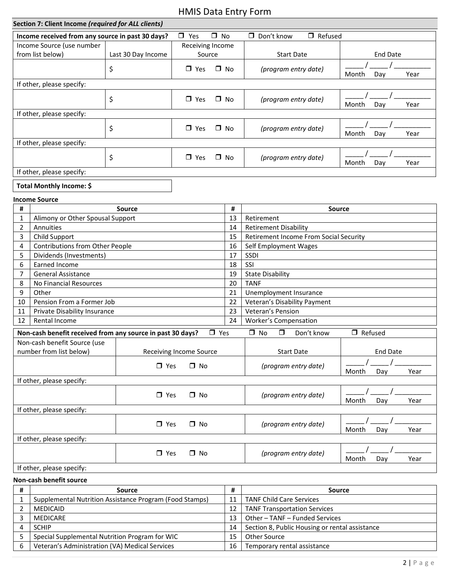| Section 7: Client Income (required for ALL clients)<br>$\Box$ Yes<br>$\square$ No<br>$\Box$ Don't know<br>$\Box$ Refused<br>Income received from any source in past 30 days?<br>Income Source (use number<br>Receiving Income<br>from list below)<br><b>End Date</b><br>Last 30 Day Income<br>Source<br><b>Start Date</b><br>\$<br>(program entry date)<br>$\Box$ Yes<br>□ No<br>Month<br>Day<br>Year<br>If other, please specify:<br>\$<br>$\Box$ Yes<br>$\Box$ No<br>(program entry date)<br>Month<br>Day<br>Year<br>If other, please specify:<br>\$<br>$\Box$ Yes<br>$\Box$ No<br>(program entry date)<br>Day<br>Year<br>Month<br>If other, please specify:<br>\$<br>$\Box$ Yes<br>(program entry date)<br>□ No<br>Day<br>Year<br>Month<br>If other, please specify:<br>Total Monthly Income: \$<br><b>Income Source</b><br>#<br>#<br>Source<br><b>Source</b><br>13<br>Alimony or Other Spousal Support<br>Retirement<br>1<br>Annuities<br>14<br><b>Retirement Disability</b><br>2<br>15<br>Child Support<br><b>Retirement Income From Social Security</b><br>3<br>Contributions from Other People<br>16<br>Self Employment Wages<br>4<br>17<br>SSDI<br>Dividends (Investments)<br>5<br>SSI<br>Earned Income<br>18<br>6<br><b>General Assistance</b><br>19<br>7<br><b>State Disability</b><br>20<br><b>TANF</b><br>8<br>No Financial Resources<br>21<br>9<br>Other<br>Unemployment Insurance<br>Pension From a Former Job<br>22<br>Veteran's Disability Payment<br>10<br>Private Disability Insurance<br>Veteran's Pension<br>23<br>11<br>12<br>Rental Income<br>24<br>Worker's Compensation<br>$\Box$ No<br>$\Box$<br>$\Box$ Refused<br>Non-cash benefit received from any source in past 30 days?<br>$\Box$ Yes<br>Don't know<br>Non-cash benefit Source (use<br>number from list below)<br><b>Start Date</b><br><b>End Date</b><br>Receiving Income Source<br>$\square$ Yes<br>$\Box$ No<br>(program entry date)<br>Month<br>Year<br>Day<br>If other, please specify:<br>$\Box$ Yes<br>$\Box$ No<br>(program entry date)<br>Month<br>Day<br>Year<br>If other, please specify:<br>$\square$ No<br>$\Box$ Yes<br>(program entry date)<br>Year<br>Month<br>Day<br>If other, please specify:<br>$\square$ No<br>(program entry date)<br>$\Box$ Yes<br>Year<br>Month<br>Day<br>If other, please specify: |  | ווויט ו ץ ווווום ומוסט כוויווו |  |  |  |  |  |  |  |  |  |  |
|-----------------------------------------------------------------------------------------------------------------------------------------------------------------------------------------------------------------------------------------------------------------------------------------------------------------------------------------------------------------------------------------------------------------------------------------------------------------------------------------------------------------------------------------------------------------------------------------------------------------------------------------------------------------------------------------------------------------------------------------------------------------------------------------------------------------------------------------------------------------------------------------------------------------------------------------------------------------------------------------------------------------------------------------------------------------------------------------------------------------------------------------------------------------------------------------------------------------------------------------------------------------------------------------------------------------------------------------------------------------------------------------------------------------------------------------------------------------------------------------------------------------------------------------------------------------------------------------------------------------------------------------------------------------------------------------------------------------------------------------------------------------------------------------------------------------------------------------------------------------------------------------------------------------------------------------------------------------------------------------------------------------------------------------------------------------------------------------------------------------------------------------------------------------------------------------------------------------------------------------------------------------------------------------------------------|--|--------------------------------|--|--|--|--|--|--|--|--|--|--|
|                                                                                                                                                                                                                                                                                                                                                                                                                                                                                                                                                                                                                                                                                                                                                                                                                                                                                                                                                                                                                                                                                                                                                                                                                                                                                                                                                                                                                                                                                                                                                                                                                                                                                                                                                                                                                                                                                                                                                                                                                                                                                                                                                                                                                                                                                                           |  |                                |  |  |  |  |  |  |  |  |  |  |
|                                                                                                                                                                                                                                                                                                                                                                                                                                                                                                                                                                                                                                                                                                                                                                                                                                                                                                                                                                                                                                                                                                                                                                                                                                                                                                                                                                                                                                                                                                                                                                                                                                                                                                                                                                                                                                                                                                                                                                                                                                                                                                                                                                                                                                                                                                           |  |                                |  |  |  |  |  |  |  |  |  |  |
|                                                                                                                                                                                                                                                                                                                                                                                                                                                                                                                                                                                                                                                                                                                                                                                                                                                                                                                                                                                                                                                                                                                                                                                                                                                                                                                                                                                                                                                                                                                                                                                                                                                                                                                                                                                                                                                                                                                                                                                                                                                                                                                                                                                                                                                                                                           |  |                                |  |  |  |  |  |  |  |  |  |  |
|                                                                                                                                                                                                                                                                                                                                                                                                                                                                                                                                                                                                                                                                                                                                                                                                                                                                                                                                                                                                                                                                                                                                                                                                                                                                                                                                                                                                                                                                                                                                                                                                                                                                                                                                                                                                                                                                                                                                                                                                                                                                                                                                                                                                                                                                                                           |  |                                |  |  |  |  |  |  |  |  |  |  |
|                                                                                                                                                                                                                                                                                                                                                                                                                                                                                                                                                                                                                                                                                                                                                                                                                                                                                                                                                                                                                                                                                                                                                                                                                                                                                                                                                                                                                                                                                                                                                                                                                                                                                                                                                                                                                                                                                                                                                                                                                                                                                                                                                                                                                                                                                                           |  |                                |  |  |  |  |  |  |  |  |  |  |
|                                                                                                                                                                                                                                                                                                                                                                                                                                                                                                                                                                                                                                                                                                                                                                                                                                                                                                                                                                                                                                                                                                                                                                                                                                                                                                                                                                                                                                                                                                                                                                                                                                                                                                                                                                                                                                                                                                                                                                                                                                                                                                                                                                                                                                                                                                           |  |                                |  |  |  |  |  |  |  |  |  |  |
|                                                                                                                                                                                                                                                                                                                                                                                                                                                                                                                                                                                                                                                                                                                                                                                                                                                                                                                                                                                                                                                                                                                                                                                                                                                                                                                                                                                                                                                                                                                                                                                                                                                                                                                                                                                                                                                                                                                                                                                                                                                                                                                                                                                                                                                                                                           |  |                                |  |  |  |  |  |  |  |  |  |  |
|                                                                                                                                                                                                                                                                                                                                                                                                                                                                                                                                                                                                                                                                                                                                                                                                                                                                                                                                                                                                                                                                                                                                                                                                                                                                                                                                                                                                                                                                                                                                                                                                                                                                                                                                                                                                                                                                                                                                                                                                                                                                                                                                                                                                                                                                                                           |  |                                |  |  |  |  |  |  |  |  |  |  |
|                                                                                                                                                                                                                                                                                                                                                                                                                                                                                                                                                                                                                                                                                                                                                                                                                                                                                                                                                                                                                                                                                                                                                                                                                                                                                                                                                                                                                                                                                                                                                                                                                                                                                                                                                                                                                                                                                                                                                                                                                                                                                                                                                                                                                                                                                                           |  |                                |  |  |  |  |  |  |  |  |  |  |
|                                                                                                                                                                                                                                                                                                                                                                                                                                                                                                                                                                                                                                                                                                                                                                                                                                                                                                                                                                                                                                                                                                                                                                                                                                                                                                                                                                                                                                                                                                                                                                                                                                                                                                                                                                                                                                                                                                                                                                                                                                                                                                                                                                                                                                                                                                           |  |                                |  |  |  |  |  |  |  |  |  |  |
|                                                                                                                                                                                                                                                                                                                                                                                                                                                                                                                                                                                                                                                                                                                                                                                                                                                                                                                                                                                                                                                                                                                                                                                                                                                                                                                                                                                                                                                                                                                                                                                                                                                                                                                                                                                                                                                                                                                                                                                                                                                                                                                                                                                                                                                                                                           |  |                                |  |  |  |  |  |  |  |  |  |  |
|                                                                                                                                                                                                                                                                                                                                                                                                                                                                                                                                                                                                                                                                                                                                                                                                                                                                                                                                                                                                                                                                                                                                                                                                                                                                                                                                                                                                                                                                                                                                                                                                                                                                                                                                                                                                                                                                                                                                                                                                                                                                                                                                                                                                                                                                                                           |  |                                |  |  |  |  |  |  |  |  |  |  |
|                                                                                                                                                                                                                                                                                                                                                                                                                                                                                                                                                                                                                                                                                                                                                                                                                                                                                                                                                                                                                                                                                                                                                                                                                                                                                                                                                                                                                                                                                                                                                                                                                                                                                                                                                                                                                                                                                                                                                                                                                                                                                                                                                                                                                                                                                                           |  |                                |  |  |  |  |  |  |  |  |  |  |
|                                                                                                                                                                                                                                                                                                                                                                                                                                                                                                                                                                                                                                                                                                                                                                                                                                                                                                                                                                                                                                                                                                                                                                                                                                                                                                                                                                                                                                                                                                                                                                                                                                                                                                                                                                                                                                                                                                                                                                                                                                                                                                                                                                                                                                                                                                           |  |                                |  |  |  |  |  |  |  |  |  |  |
|                                                                                                                                                                                                                                                                                                                                                                                                                                                                                                                                                                                                                                                                                                                                                                                                                                                                                                                                                                                                                                                                                                                                                                                                                                                                                                                                                                                                                                                                                                                                                                                                                                                                                                                                                                                                                                                                                                                                                                                                                                                                                                                                                                                                                                                                                                           |  |                                |  |  |  |  |  |  |  |  |  |  |
|                                                                                                                                                                                                                                                                                                                                                                                                                                                                                                                                                                                                                                                                                                                                                                                                                                                                                                                                                                                                                                                                                                                                                                                                                                                                                                                                                                                                                                                                                                                                                                                                                                                                                                                                                                                                                                                                                                                                                                                                                                                                                                                                                                                                                                                                                                           |  |                                |  |  |  |  |  |  |  |  |  |  |
|                                                                                                                                                                                                                                                                                                                                                                                                                                                                                                                                                                                                                                                                                                                                                                                                                                                                                                                                                                                                                                                                                                                                                                                                                                                                                                                                                                                                                                                                                                                                                                                                                                                                                                                                                                                                                                                                                                                                                                                                                                                                                                                                                                                                                                                                                                           |  |                                |  |  |  |  |  |  |  |  |  |  |
|                                                                                                                                                                                                                                                                                                                                                                                                                                                                                                                                                                                                                                                                                                                                                                                                                                                                                                                                                                                                                                                                                                                                                                                                                                                                                                                                                                                                                                                                                                                                                                                                                                                                                                                                                                                                                                                                                                                                                                                                                                                                                                                                                                                                                                                                                                           |  |                                |  |  |  |  |  |  |  |  |  |  |
|                                                                                                                                                                                                                                                                                                                                                                                                                                                                                                                                                                                                                                                                                                                                                                                                                                                                                                                                                                                                                                                                                                                                                                                                                                                                                                                                                                                                                                                                                                                                                                                                                                                                                                                                                                                                                                                                                                                                                                                                                                                                                                                                                                                                                                                                                                           |  |                                |  |  |  |  |  |  |  |  |  |  |
|                                                                                                                                                                                                                                                                                                                                                                                                                                                                                                                                                                                                                                                                                                                                                                                                                                                                                                                                                                                                                                                                                                                                                                                                                                                                                                                                                                                                                                                                                                                                                                                                                                                                                                                                                                                                                                                                                                                                                                                                                                                                                                                                                                                                                                                                                                           |  |                                |  |  |  |  |  |  |  |  |  |  |
|                                                                                                                                                                                                                                                                                                                                                                                                                                                                                                                                                                                                                                                                                                                                                                                                                                                                                                                                                                                                                                                                                                                                                                                                                                                                                                                                                                                                                                                                                                                                                                                                                                                                                                                                                                                                                                                                                                                                                                                                                                                                                                                                                                                                                                                                                                           |  |                                |  |  |  |  |  |  |  |  |  |  |
|                                                                                                                                                                                                                                                                                                                                                                                                                                                                                                                                                                                                                                                                                                                                                                                                                                                                                                                                                                                                                                                                                                                                                                                                                                                                                                                                                                                                                                                                                                                                                                                                                                                                                                                                                                                                                                                                                                                                                                                                                                                                                                                                                                                                                                                                                                           |  |                                |  |  |  |  |  |  |  |  |  |  |
|                                                                                                                                                                                                                                                                                                                                                                                                                                                                                                                                                                                                                                                                                                                                                                                                                                                                                                                                                                                                                                                                                                                                                                                                                                                                                                                                                                                                                                                                                                                                                                                                                                                                                                                                                                                                                                                                                                                                                                                                                                                                                                                                                                                                                                                                                                           |  |                                |  |  |  |  |  |  |  |  |  |  |
|                                                                                                                                                                                                                                                                                                                                                                                                                                                                                                                                                                                                                                                                                                                                                                                                                                                                                                                                                                                                                                                                                                                                                                                                                                                                                                                                                                                                                                                                                                                                                                                                                                                                                                                                                                                                                                                                                                                                                                                                                                                                                                                                                                                                                                                                                                           |  |                                |  |  |  |  |  |  |  |  |  |  |
|                                                                                                                                                                                                                                                                                                                                                                                                                                                                                                                                                                                                                                                                                                                                                                                                                                                                                                                                                                                                                                                                                                                                                                                                                                                                                                                                                                                                                                                                                                                                                                                                                                                                                                                                                                                                                                                                                                                                                                                                                                                                                                                                                                                                                                                                                                           |  |                                |  |  |  |  |  |  |  |  |  |  |
|                                                                                                                                                                                                                                                                                                                                                                                                                                                                                                                                                                                                                                                                                                                                                                                                                                                                                                                                                                                                                                                                                                                                                                                                                                                                                                                                                                                                                                                                                                                                                                                                                                                                                                                                                                                                                                                                                                                                                                                                                                                                                                                                                                                                                                                                                                           |  |                                |  |  |  |  |  |  |  |  |  |  |
|                                                                                                                                                                                                                                                                                                                                                                                                                                                                                                                                                                                                                                                                                                                                                                                                                                                                                                                                                                                                                                                                                                                                                                                                                                                                                                                                                                                                                                                                                                                                                                                                                                                                                                                                                                                                                                                                                                                                                                                                                                                                                                                                                                                                                                                                                                           |  |                                |  |  |  |  |  |  |  |  |  |  |
|                                                                                                                                                                                                                                                                                                                                                                                                                                                                                                                                                                                                                                                                                                                                                                                                                                                                                                                                                                                                                                                                                                                                                                                                                                                                                                                                                                                                                                                                                                                                                                                                                                                                                                                                                                                                                                                                                                                                                                                                                                                                                                                                                                                                                                                                                                           |  |                                |  |  |  |  |  |  |  |  |  |  |
|                                                                                                                                                                                                                                                                                                                                                                                                                                                                                                                                                                                                                                                                                                                                                                                                                                                                                                                                                                                                                                                                                                                                                                                                                                                                                                                                                                                                                                                                                                                                                                                                                                                                                                                                                                                                                                                                                                                                                                                                                                                                                                                                                                                                                                                                                                           |  |                                |  |  |  |  |  |  |  |  |  |  |
|                                                                                                                                                                                                                                                                                                                                                                                                                                                                                                                                                                                                                                                                                                                                                                                                                                                                                                                                                                                                                                                                                                                                                                                                                                                                                                                                                                                                                                                                                                                                                                                                                                                                                                                                                                                                                                                                                                                                                                                                                                                                                                                                                                                                                                                                                                           |  |                                |  |  |  |  |  |  |  |  |  |  |
|                                                                                                                                                                                                                                                                                                                                                                                                                                                                                                                                                                                                                                                                                                                                                                                                                                                                                                                                                                                                                                                                                                                                                                                                                                                                                                                                                                                                                                                                                                                                                                                                                                                                                                                                                                                                                                                                                                                                                                                                                                                                                                                                                                                                                                                                                                           |  |                                |  |  |  |  |  |  |  |  |  |  |
|                                                                                                                                                                                                                                                                                                                                                                                                                                                                                                                                                                                                                                                                                                                                                                                                                                                                                                                                                                                                                                                                                                                                                                                                                                                                                                                                                                                                                                                                                                                                                                                                                                                                                                                                                                                                                                                                                                                                                                                                                                                                                                                                                                                                                                                                                                           |  |                                |  |  |  |  |  |  |  |  |  |  |
|                                                                                                                                                                                                                                                                                                                                                                                                                                                                                                                                                                                                                                                                                                                                                                                                                                                                                                                                                                                                                                                                                                                                                                                                                                                                                                                                                                                                                                                                                                                                                                                                                                                                                                                                                                                                                                                                                                                                                                                                                                                                                                                                                                                                                                                                                                           |  |                                |  |  |  |  |  |  |  |  |  |  |
|                                                                                                                                                                                                                                                                                                                                                                                                                                                                                                                                                                                                                                                                                                                                                                                                                                                                                                                                                                                                                                                                                                                                                                                                                                                                                                                                                                                                                                                                                                                                                                                                                                                                                                                                                                                                                                                                                                                                                                                                                                                                                                                                                                                                                                                                                                           |  |                                |  |  |  |  |  |  |  |  |  |  |
|                                                                                                                                                                                                                                                                                                                                                                                                                                                                                                                                                                                                                                                                                                                                                                                                                                                                                                                                                                                                                                                                                                                                                                                                                                                                                                                                                                                                                                                                                                                                                                                                                                                                                                                                                                                                                                                                                                                                                                                                                                                                                                                                                                                                                                                                                                           |  |                                |  |  |  |  |  |  |  |  |  |  |
|                                                                                                                                                                                                                                                                                                                                                                                                                                                                                                                                                                                                                                                                                                                                                                                                                                                                                                                                                                                                                                                                                                                                                                                                                                                                                                                                                                                                                                                                                                                                                                                                                                                                                                                                                                                                                                                                                                                                                                                                                                                                                                                                                                                                                                                                                                           |  |                                |  |  |  |  |  |  |  |  |  |  |
|                                                                                                                                                                                                                                                                                                                                                                                                                                                                                                                                                                                                                                                                                                                                                                                                                                                                                                                                                                                                                                                                                                                                                                                                                                                                                                                                                                                                                                                                                                                                                                                                                                                                                                                                                                                                                                                                                                                                                                                                                                                                                                                                                                                                                                                                                                           |  |                                |  |  |  |  |  |  |  |  |  |  |
|                                                                                                                                                                                                                                                                                                                                                                                                                                                                                                                                                                                                                                                                                                                                                                                                                                                                                                                                                                                                                                                                                                                                                                                                                                                                                                                                                                                                                                                                                                                                                                                                                                                                                                                                                                                                                                                                                                                                                                                                                                                                                                                                                                                                                                                                                                           |  |                                |  |  |  |  |  |  |  |  |  |  |
|                                                                                                                                                                                                                                                                                                                                                                                                                                                                                                                                                                                                                                                                                                                                                                                                                                                                                                                                                                                                                                                                                                                                                                                                                                                                                                                                                                                                                                                                                                                                                                                                                                                                                                                                                                                                                                                                                                                                                                                                                                                                                                                                                                                                                                                                                                           |  |                                |  |  |  |  |  |  |  |  |  |  |
|                                                                                                                                                                                                                                                                                                                                                                                                                                                                                                                                                                                                                                                                                                                                                                                                                                                                                                                                                                                                                                                                                                                                                                                                                                                                                                                                                                                                                                                                                                                                                                                                                                                                                                                                                                                                                                                                                                                                                                                                                                                                                                                                                                                                                                                                                                           |  |                                |  |  |  |  |  |  |  |  |  |  |
|                                                                                                                                                                                                                                                                                                                                                                                                                                                                                                                                                                                                                                                                                                                                                                                                                                                                                                                                                                                                                                                                                                                                                                                                                                                                                                                                                                                                                                                                                                                                                                                                                                                                                                                                                                                                                                                                                                                                                                                                                                                                                                                                                                                                                                                                                                           |  |                                |  |  |  |  |  |  |  |  |  |  |
|                                                                                                                                                                                                                                                                                                                                                                                                                                                                                                                                                                                                                                                                                                                                                                                                                                                                                                                                                                                                                                                                                                                                                                                                                                                                                                                                                                                                                                                                                                                                                                                                                                                                                                                                                                                                                                                                                                                                                                                                                                                                                                                                                                                                                                                                                                           |  |                                |  |  |  |  |  |  |  |  |  |  |
|                                                                                                                                                                                                                                                                                                                                                                                                                                                                                                                                                                                                                                                                                                                                                                                                                                                                                                                                                                                                                                                                                                                                                                                                                                                                                                                                                                                                                                                                                                                                                                                                                                                                                                                                                                                                                                                                                                                                                                                                                                                                                                                                                                                                                                                                                                           |  |                                |  |  |  |  |  |  |  |  |  |  |
|                                                                                                                                                                                                                                                                                                                                                                                                                                                                                                                                                                                                                                                                                                                                                                                                                                                                                                                                                                                                                                                                                                                                                                                                                                                                                                                                                                                                                                                                                                                                                                                                                                                                                                                                                                                                                                                                                                                                                                                                                                                                                                                                                                                                                                                                                                           |  |                                |  |  |  |  |  |  |  |  |  |  |
|                                                                                                                                                                                                                                                                                                                                                                                                                                                                                                                                                                                                                                                                                                                                                                                                                                                                                                                                                                                                                                                                                                                                                                                                                                                                                                                                                                                                                                                                                                                                                                                                                                                                                                                                                                                                                                                                                                                                                                                                                                                                                                                                                                                                                                                                                                           |  |                                |  |  |  |  |  |  |  |  |  |  |
|                                                                                                                                                                                                                                                                                                                                                                                                                                                                                                                                                                                                                                                                                                                                                                                                                                                                                                                                                                                                                                                                                                                                                                                                                                                                                                                                                                                                                                                                                                                                                                                                                                                                                                                                                                                                                                                                                                                                                                                                                                                                                                                                                                                                                                                                                                           |  |                                |  |  |  |  |  |  |  |  |  |  |
|                                                                                                                                                                                                                                                                                                                                                                                                                                                                                                                                                                                                                                                                                                                                                                                                                                                                                                                                                                                                                                                                                                                                                                                                                                                                                                                                                                                                                                                                                                                                                                                                                                                                                                                                                                                                                                                                                                                                                                                                                                                                                                                                                                                                                                                                                                           |  |                                |  |  |  |  |  |  |  |  |  |  |
|                                                                                                                                                                                                                                                                                                                                                                                                                                                                                                                                                                                                                                                                                                                                                                                                                                                                                                                                                                                                                                                                                                                                                                                                                                                                                                                                                                                                                                                                                                                                                                                                                                                                                                                                                                                                                                                                                                                                                                                                                                                                                                                                                                                                                                                                                                           |  |                                |  |  |  |  |  |  |  |  |  |  |
|                                                                                                                                                                                                                                                                                                                                                                                                                                                                                                                                                                                                                                                                                                                                                                                                                                                                                                                                                                                                                                                                                                                                                                                                                                                                                                                                                                                                                                                                                                                                                                                                                                                                                                                                                                                                                                                                                                                                                                                                                                                                                                                                                                                                                                                                                                           |  | Non-cash benefit source        |  |  |  |  |  |  |  |  |  |  |

| # | Source                                                  | #  | Source                                         |  |  |
|---|---------------------------------------------------------|----|------------------------------------------------|--|--|
|   | Supplemental Nutrition Assistance Program (Food Stamps) |    | <b>TANF Child Care Services</b>                |  |  |
|   | <b>MEDICAID</b>                                         |    | <b>TANF Transportation Services</b>            |  |  |
|   | MEDICARE                                                | 13 | Other - TANF - Funded Services                 |  |  |
|   | <b>SCHIP</b>                                            | 14 | Section 8, Public Housing or rental assistance |  |  |
|   | Special Supplemental Nutrition Program for WIC          | 15 | Other Source                                   |  |  |
|   | Veteran's Administration (VA) Medical Services          | 16 | Temporary rental assistance                    |  |  |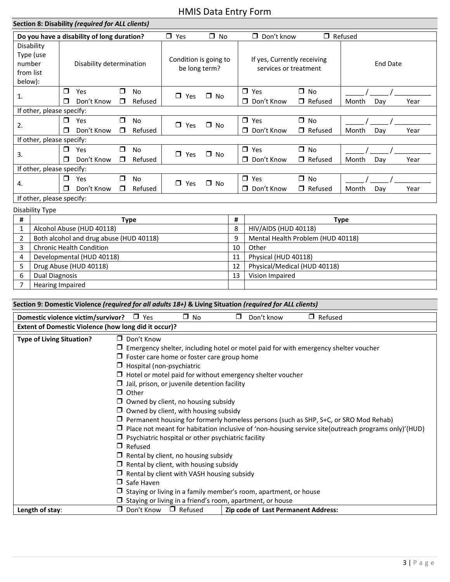|                                | Section 8: Disability (required for ALL clients) |                          |                                            |                                        |                      |               |                                                      |       |                                                           |                                   |                |     |      |
|--------------------------------|--------------------------------------------------|--------------------------|--------------------------------------------|----------------------------------------|----------------------|---------------|------------------------------------------------------|-------|-----------------------------------------------------------|-----------------------------------|----------------|-----|------|
|                                |                                                  |                          | Do you have a disability of long duration? |                                        |                      | $\Box$ Yes    | $\Box$ No                                            |       | $\Box$ Don't know                                         |                                   | $\Box$ Refused |     |      |
| number<br>from list<br>below): | Disability<br>Type (use                          | Disability determination |                                            | Condition is going to<br>be long term? |                      |               | If yes, Currently receiving<br>services or treatment |       | <b>End Date</b>                                           |                                   |                |     |      |
| 1.                             |                                                  | $\Box$<br>⊓              | Yes<br>Don't Know                          | $\Box$<br>$\Box$                       | <b>No</b><br>Refused | $\Box$ Yes    | $\Box$ No                                            |       | $\Box$ Yes<br>$\Box$ Don't Know                           | $\Box$ No<br>$\Box$ Refused       | Month          | Day | Year |
|                                | If other, please specify:                        |                          |                                            |                                        |                      |               |                                                      |       |                                                           |                                   |                |     |      |
| 2.                             |                                                  | $\Box$<br>⊓              | Yes<br>Don't Know                          | $\Box$<br>□                            | <b>No</b><br>Refused | $\Box$ Yes    | $\square$ No                                         |       | $\Box$ Yes<br>D Don't Know                                | $\Box$ No<br>$\Box$ Refused       | Month          | Day | Year |
|                                | If other, please specify:                        |                          |                                            |                                        |                      |               |                                                      |       |                                                           |                                   |                |     |      |
| 3.                             |                                                  | $\Box$<br>П.             | Yes<br>Don't Know                          | $\Box$<br>$\Box$                       | <b>No</b><br>Refused | $\Box$<br>Yes | $\Box$ No                                            |       | $\Box$ Yes<br>$\Box$ Don't Know                           | $\square$ No<br>$\Box$ Refused    | Month          | Day | Year |
|                                | If other, please specify:                        |                          |                                            |                                        |                      |               |                                                      |       |                                                           |                                   |                |     |      |
| 4.                             |                                                  | $\Box$<br>$\Box$         | Yes<br>Don't Know                          | $\Box$<br>$\Box$                       | <b>No</b><br>Refused | $\Box$<br>Yes | $\square$ No                                         |       | $\Box$ Yes<br>$\Box$ No<br>D Don't Know<br>$\Box$ Refused |                                   | Month          | Day | Year |
|                                | If other, please specify:                        |                          |                                            |                                        |                      |               |                                                      |       |                                                           |                                   |                |     |      |
|                                | Disability Type                                  |                          |                                            |                                        |                      |               |                                                      |       |                                                           |                                   |                |     |      |
| #                              |                                                  |                          |                                            |                                        | <b>Type</b>          |               |                                                      | #     |                                                           |                                   | <b>Type</b>    |     |      |
| 1                              |                                                  |                          | Alcohol Abuse (HUD 40118)                  |                                        |                      |               |                                                      | 8     | <b>HIV/AIDS (HUD 40118)</b>                               |                                   |                |     |      |
| 2                              |                                                  |                          | Both alcohol and drug abuse (HUD 40118)    |                                        |                      |               |                                                      | 9     |                                                           | Mental Health Problem (HUD 40118) |                |     |      |
|                                | 3<br><b>Chronic Health Condition</b>             |                          |                                            |                                        |                      |               | 10                                                   | Other |                                                           |                                   |                |     |      |
| 4                              |                                                  |                          | Developmental (HUD 40118)                  |                                        |                      |               |                                                      | 11    | Physical (HUD 40118)                                      |                                   |                |     |      |
| 5                              |                                                  |                          | Drug Abuse (HUD 40118)                     |                                        |                      |               |                                                      | 12    |                                                           | Physical/Medical (HUD 40118)      |                |     |      |
| 6                              | <b>Dual Diagnosis</b>                            |                          |                                            |                                        |                      |               |                                                      | 13    | Vision Impaired                                           |                                   |                |     |      |
| 7                              |                                                  | Hearing Impaired         |                                            |                                        |                      |               |                                                      |       |                                                           |                                   |                |     |      |

| Section 9: Domestic Violence (required for all adults 18+) & Living Situation (required for ALL clients) |                                  |                                                                         |        |            |                                                                                                            |  |  |  |  |
|----------------------------------------------------------------------------------------------------------|----------------------------------|-------------------------------------------------------------------------|--------|------------|------------------------------------------------------------------------------------------------------------|--|--|--|--|
| Domestic violence victim/survivor?                                                                       | $\Box$ Yes                       | $\Box$ No                                                               | $\Box$ | Don't know | $\Box$ Refused                                                                                             |  |  |  |  |
| Extent of Domestic Violence (how long did it occur)?                                                     |                                  |                                                                         |        |            |                                                                                                            |  |  |  |  |
| <b>Type of Living Situation?</b>                                                                         | $\Box$ Don't Know                |                                                                         |        |            |                                                                                                            |  |  |  |  |
|                                                                                                          |                                  |                                                                         |        |            | $\Box$ Emergency shelter, including hotel or motel paid for with emergency shelter voucher                 |  |  |  |  |
|                                                                                                          |                                  | $\Box$ Foster care home or foster care group home                       |        |            |                                                                                                            |  |  |  |  |
|                                                                                                          | $\Box$ Hospital (non-psychiatric |                                                                         |        |            |                                                                                                            |  |  |  |  |
|                                                                                                          |                                  | $\Box$ Hotel or motel paid for without emergency shelter voucher        |        |            |                                                                                                            |  |  |  |  |
|                                                                                                          |                                  | $\Box$ Jail, prison, or juvenile detention facility                     |        |            |                                                                                                            |  |  |  |  |
|                                                                                                          | $\Box$ Other                     |                                                                         |        |            |                                                                                                            |  |  |  |  |
|                                                                                                          |                                  | $\Box$ Owned by client, no housing subsidy                              |        |            |                                                                                                            |  |  |  |  |
|                                                                                                          |                                  | $\Box$ Owned by client, with housing subsidy                            |        |            |                                                                                                            |  |  |  |  |
|                                                                                                          |                                  |                                                                         |        |            | $\Box$ Permanent housing for formerly homeless persons (such as SHP, S+C, or SRO Mod Rehab)                |  |  |  |  |
|                                                                                                          |                                  |                                                                         |        |            | $\Box$ Place not meant for habitation inclusive of 'non-housing service site(outreach programs only)'(HUD) |  |  |  |  |
|                                                                                                          |                                  | $\Box$ Psychiatric hospital or other psychiatric facility               |        |            |                                                                                                            |  |  |  |  |
|                                                                                                          | $\Box$ Refused                   |                                                                         |        |            |                                                                                                            |  |  |  |  |
|                                                                                                          |                                  | $\Box$ Rental by client, no housing subsidy                             |        |            |                                                                                                            |  |  |  |  |
|                                                                                                          |                                  | $\Box$ Rental by client, with housing subsidy                           |        |            |                                                                                                            |  |  |  |  |
|                                                                                                          |                                  | $\Box$ Rental by client with VASH housing subsidy                       |        |            |                                                                                                            |  |  |  |  |
|                                                                                                          | $\Box$ Safe Haven                |                                                                         |        |            |                                                                                                            |  |  |  |  |
|                                                                                                          |                                  | $\Box$ Staying or living in a family member's room, apartment, or house |        |            |                                                                                                            |  |  |  |  |
|                                                                                                          |                                  | $\Box$ Staying or living in a friend's room, apartment, or house        |        |            |                                                                                                            |  |  |  |  |
| Length of stay:                                                                                          | $\Box$ Don't Know                | $\Box$ Refused                                                          |        |            | Zip code of Last Permanent Address:                                                                        |  |  |  |  |

Hearing Impaired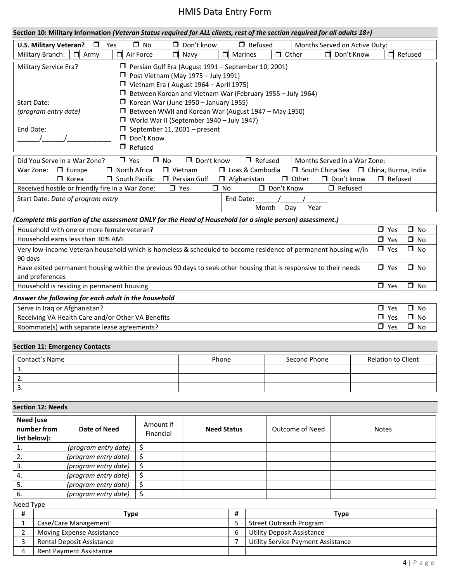| Section 10: Military Information (Veteran Status required for ALL clients, rest of the section required for all adults 18+) |                                                                                   |                        |                   |                              |                         |  |  |  |  |  |
|-----------------------------------------------------------------------------------------------------------------------------|-----------------------------------------------------------------------------------|------------------------|-------------------|------------------------------|-------------------------|--|--|--|--|--|
| $\Box$<br>Yes<br><b>U.S. Military Veteran?</b>                                                                              | $\Box$ No<br>$\Box$ Refused<br>$\Box$ Don't know<br>Months Served on Active Duty: |                        |                   |                              |                         |  |  |  |  |  |
| Military Branch:<br>Air Force<br>Army                                                                                       | $\blacksquare$<br>Navy                                                            | Marines                | Other             | Don't Know<br>$\blacksquare$ | Refused                 |  |  |  |  |  |
| $\Box$ Persian Gulf Era (August 1991 – September 10, 2001)<br>Military Service Era?                                         |                                                                                   |                        |                   |                              |                         |  |  |  |  |  |
|                                                                                                                             | $\Box$ Post Vietnam (May 1975 – July 1991)                                        |                        |                   |                              |                         |  |  |  |  |  |
|                                                                                                                             | $\Box$ Vietnam Era (August 1964 – April 1975)                                     |                        |                   |                              |                         |  |  |  |  |  |
|                                                                                                                             | $\Box$ Between Korean and Vietnam War (February 1955 – July 1964)                 |                        |                   |                              |                         |  |  |  |  |  |
| Start Date:                                                                                                                 | Korean War (June 1950 - January 1955)                                             |                        |                   |                              |                         |  |  |  |  |  |
| (program entry date)                                                                                                        | $\Box$ Between WWII and Korean War (August 1947 – May 1950)                       |                        |                   |                              |                         |  |  |  |  |  |
|                                                                                                                             | $\Box$ World War II (September 1940 – July 1947)                                  |                        |                   |                              |                         |  |  |  |  |  |
| End Date:                                                                                                                   | $\Box$ September 11, 2001 – present                                               |                        |                   |                              |                         |  |  |  |  |  |
|                                                                                                                             | $\Box$ Don't Know                                                                 |                        |                   |                              |                         |  |  |  |  |  |
| $\Box$ Refused                                                                                                              |                                                                                   |                        |                   |                              |                         |  |  |  |  |  |
| $\Box$ Yes<br>Did You Serve in a War Zone?                                                                                  | $\Box$ No<br>$\Box$ Don't know                                                    | $\Box$ Refused         |                   | Months Served in a War Zone: |                         |  |  |  |  |  |
| $\Box$ North Africa<br>$\Box$ Europe<br>War Zone:                                                                           | $\Box$ Vietnam                                                                    | $\Box$ Loas & Cambodia |                   | □ South China Sea            | □ China, Burma, India   |  |  |  |  |  |
| $\Box$ South Pacific<br>$\Box$ Korea                                                                                        | <b>T</b> Persian Gulf                                                             | $\Box$ Afghanistan     | □ Other           | $\Box$ Don't know            | $\Box$ Refused          |  |  |  |  |  |
| Received hostile or friendly fire in a War Zone:                                                                            | $\Box$ Yes                                                                        | $\Box$ No              | $\Box$ Don't Know | $\Box$ Refused               |                         |  |  |  |  |  |
| Start Date: Date of program entry                                                                                           |                                                                                   | End Date:              |                   |                              |                         |  |  |  |  |  |
| Month<br>Day<br>Year                                                                                                        |                                                                                   |                        |                   |                              |                         |  |  |  |  |  |
| (Complete this portion of the assessment ONLY for the Head of Household (or a single person) assessment.)                   |                                                                                   |                        |                   |                              |                         |  |  |  |  |  |
| $\Box$ No<br>Household with one or more female veteran?<br>$\Box$ Yes                                                       |                                                                                   |                        |                   |                              |                         |  |  |  |  |  |
| Household earns less than 30% AMI                                                                                           |                                                                                   |                        |                   |                              | $\Box$ Yes<br>$\Box$ No |  |  |  |  |  |

| $\Box$ Yes | □ No |
|------------|------|
| $\Box$ Yes | ⊟ No |
|            |      |
| $\Box$ Yes | □ No |
|            |      |

#### *Answer the following for each adult in the household*

| Serve in Iraq or Afghanistan?                     | Yes | No. |
|---------------------------------------------------|-----|-----|
| Receiving VA Health Care and/or Other VA Benefits | Yes | No. |
| Roommate(s) with separate lease agreements?       | Yes | No. |

### **Section 11: Emergency Contacts**

| Contact's Name | Phone | Second Phone | <b>Relation to Client</b> |
|----------------|-------|--------------|---------------------------|
|                |       |              |                           |
| . ـ            |       |              |                           |
| J.             |       |              |                           |

#### **Section 12: Needs**

| Need (use<br>number from<br>list below): | Date of Need         | Amount if<br>Financial | <b>Need Status</b> | Outcome of Need | <b>Notes</b> |
|------------------------------------------|----------------------|------------------------|--------------------|-----------------|--------------|
|                                          | (program entry date) |                        |                    |                 |              |
|                                          | (program entry date) |                        |                    |                 |              |
| - 3.                                     | (program entry date) |                        |                    |                 |              |
| 4.                                       | (program entry date) |                        |                    |                 |              |
|                                          | (program entry date) |                        |                    |                 |              |
| 6.                                       | (program entry date) |                        |                    |                 |              |

Need Type

| Type                      | Type                               |
|---------------------------|------------------------------------|
| Case/Care Management      | Street Outreach Program            |
| Moving Expense Assistance | Utility Deposit Assistance         |
| Rental Deposit Assistance | Utility Service Payment Assistance |
| Rent Payment Assistance   |                                    |